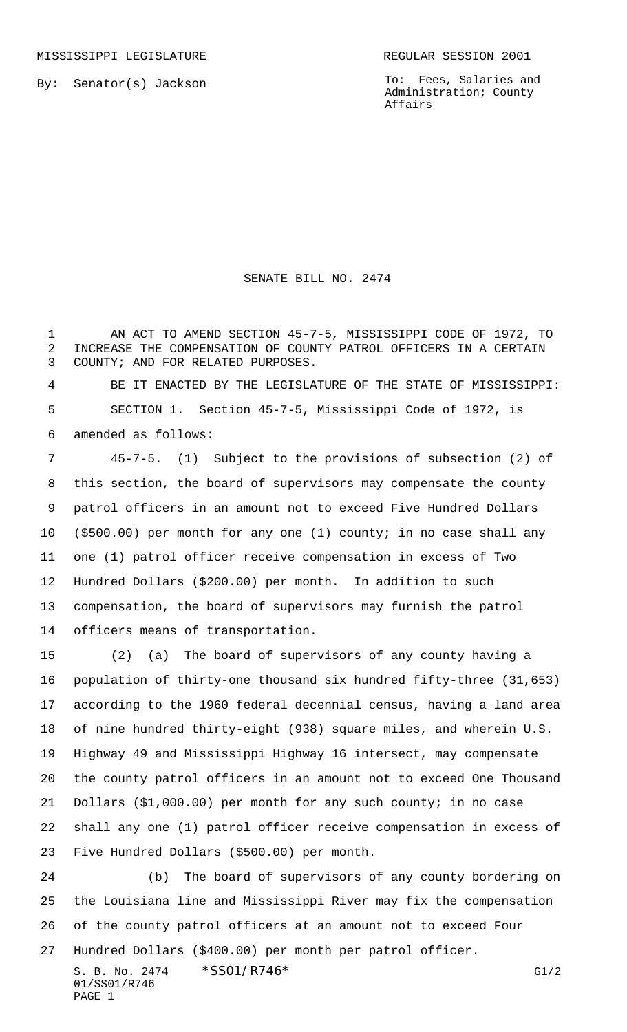MISSISSIPPI LEGISLATURE **REGULAR SESSION 2001** 

By: Senator(s) Jackson

To: Fees, Salaries and Administration; County Affairs

SENATE BILL NO. 2474

 AN ACT TO AMEND SECTION 45-7-5, MISSISSIPPI CODE OF 1972, TO INCREASE THE COMPENSATION OF COUNTY PATROL OFFICERS IN A CERTAIN COUNTY; AND FOR RELATED PURPOSES.

 BE IT ENACTED BY THE LEGISLATURE OF THE STATE OF MISSISSIPPI: SECTION 1. Section 45-7-5, Mississippi Code of 1972, is amended as follows:

 45-7-5. (1) Subject to the provisions of subsection (2) of this section, the board of supervisors may compensate the county patrol officers in an amount not to exceed Five Hundred Dollars (\$500.00) per month for any one (1) county; in no case shall any one (1) patrol officer receive compensation in excess of Two Hundred Dollars (\$200.00) per month. In addition to such compensation, the board of supervisors may furnish the patrol officers means of transportation.

 (2) (a) The board of supervisors of any county having a population of thirty-one thousand six hundred fifty-three (31,653) according to the 1960 federal decennial census, having a land area of nine hundred thirty-eight (938) square miles, and wherein U.S. Highway 49 and Mississippi Highway 16 intersect, may compensate the county patrol officers in an amount not to exceed One Thousand Dollars (\$1,000.00) per month for any such county; in no case shall any one (1) patrol officer receive compensation in excess of Five Hundred Dollars (\$500.00) per month.

 (b) The board of supervisors of any county bordering on the Louisiana line and Mississippi River may fix the compensation of the county patrol officers at an amount not to exceed Four Hundred Dollars (\$400.00) per month per patrol officer.

S. B. No. 2474  $*$  SS01/R746\* G1/2 01/SS01/R746 PAGE 1